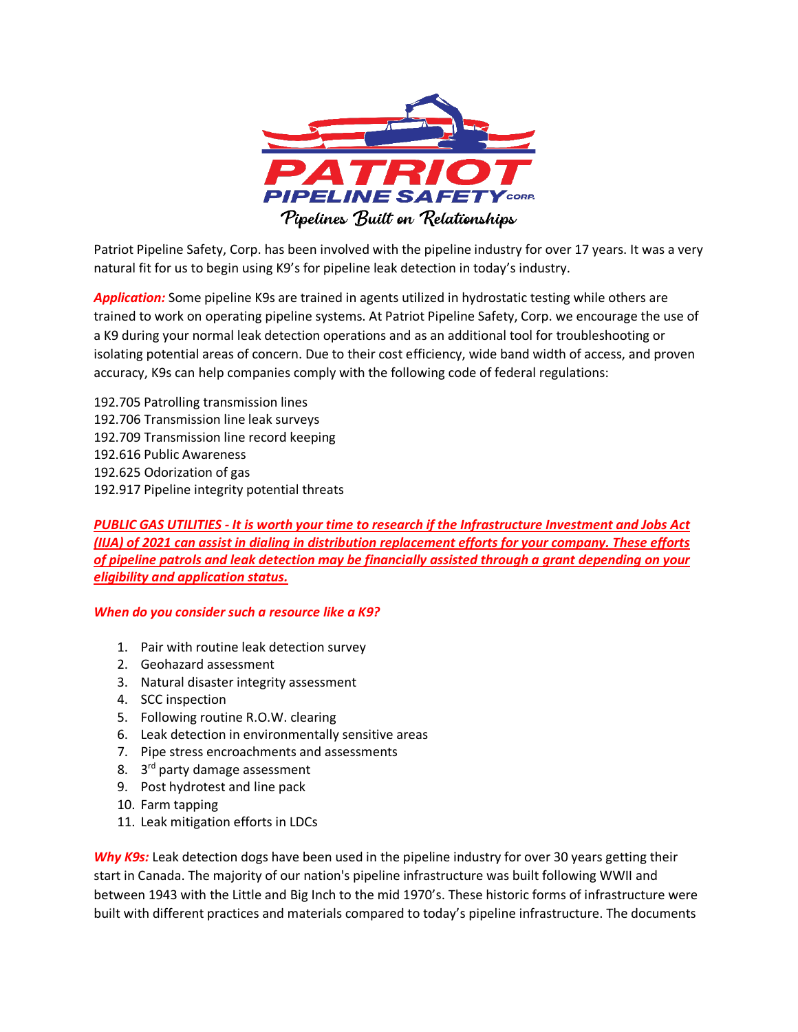

Patriot Pipeline Safety, Corp. has been involved with the pipeline industry for over 17 years. It was a very natural fit for us to begin using K9's for pipeline leak detection in today's industry.

*Application:* Some pipeline K9s are trained in agents utilized in hydrostatic testing while others are trained to work on operating pipeline systems. At Patriot Pipeline Safety, Corp. we encourage the use of a K9 during your normal leak detection operations and as an additional tool for troubleshooting or isolating potential areas of concern. Due to their cost efficiency, wide band width of access, and proven accuracy, K9s can help companies comply with the following code of federal regulations:

192.705 Patrolling transmission lines 192.706 Transmission line leak surveys 192.709 Transmission line record keeping 192.616 Public Awareness 192.625 Odorization of gas 192.917 Pipeline integrity potential threats

*PUBLIC GAS UTILITIES - It is worth your time to research if the Infrastructure Investment and Jobs Act (IIJA) of 2021 can assist in dialing in distribution replacement efforts for your company. These efforts of pipeline patrols and leak detection may be financially assisted through a grant depending on your eligibility and application status.* 

## *When do you consider such a resource like a K9?*

- 1. Pair with routine leak detection survey
- 2. Geohazard assessment
- 3. Natural disaster integrity assessment
- 4. SCC inspection
- 5. Following routine R.O.W. clearing
- 6. Leak detection in environmentally sensitive areas
- 7. Pipe stress encroachments and assessments
- 8. 3<sup>rd</sup> party damage assessment
- 9. Post hydrotest and line pack
- 10. Farm tapping
- 11. Leak mitigation efforts in LDCs

*Why K9s:* Leak detection dogs have been used in the pipeline industry for over 30 years getting their start in Canada. The majority of our nation's pipeline infrastructure was built following WWII and between 1943 with the Little and Big Inch to the mid 1970's. These historic forms of infrastructure were built with different practices and materials compared to today's pipeline infrastructure. The documents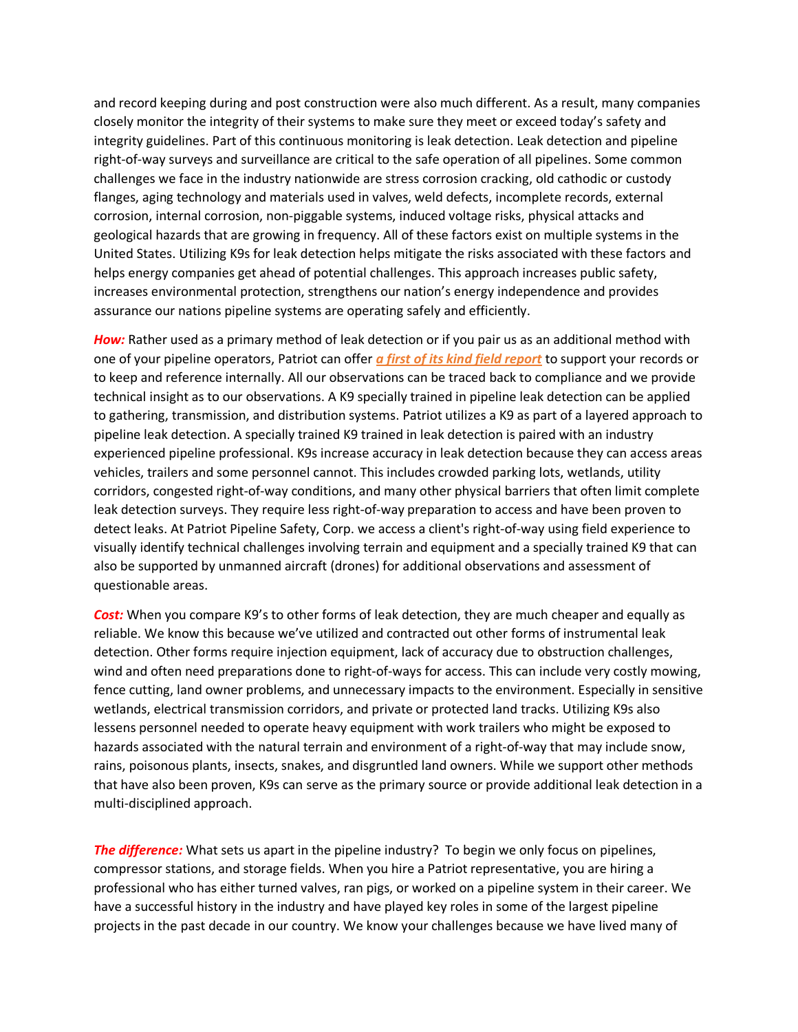and record keeping during and post construction were also much different. As a result, many companies closely monitor the integrity of their systems to make sure they meet or exceed today's safety and integrity guidelines. Part of this continuous monitoring is leak detection. Leak detection and pipeline right-of-way surveys and surveillance are critical to the safe operation of all pipelines. Some common challenges we face in the industry nationwide are stress corrosion cracking, old cathodic or custody flanges, aging technology and materials used in valves, weld defects, incomplete records, external corrosion, internal corrosion, non-piggable systems, induced voltage risks, physical attacks and geological hazards that are growing in frequency. All of these factors exist on multiple systems in the United States. Utilizing K9s for leak detection helps mitigate the risks associated with these factors and helps energy companies get ahead of potential challenges. This approach increases public safety, increases environmental protection, strengthens our nation's energy independence and provides assurance our nations pipeline systems are operating safely and efficiently.

*How:* Rather used as a primary method of leak detection or if you pair us as an additional method with one of your pipeline operators, Patriot can offer *a first of its kind field report* to support your records or to keep and reference internally. All our observations can be traced back to compliance and we provide technical insight as to our observations. A K9 specially trained in pipeline leak detection can be applied to gathering, transmission, and distribution systems. Patriot utilizes a K9 as part of a layered approach to pipeline leak detection. A specially trained K9 trained in leak detection is paired with an industry experienced pipeline professional. K9s increase accuracy in leak detection because they can access areas vehicles, trailers and some personnel cannot. This includes crowded parking lots, wetlands, utility corridors, congested right-of-way conditions, and many other physical barriers that often limit complete leak detection surveys. They require less right-of-way preparation to access and have been proven to detect leaks. At Patriot Pipeline Safety, Corp. we access a client's right-of-way using field experience to visually identify technical challenges involving terrain and equipment and a specially trained K9 that can also be supported by unmanned aircraft (drones) for additional observations and assessment of questionable areas.

*Cost:* When you compare K9's to other forms of leak detection, they are much cheaper and equally as reliable. We know this because we've utilized and contracted out other forms of instrumental leak detection. Other forms require injection equipment, lack of accuracy due to obstruction challenges, wind and often need preparations done to right-of-ways for access. This can include very costly mowing, fence cutting, land owner problems, and unnecessary impacts to the environment. Especially in sensitive wetlands, electrical transmission corridors, and private or protected land tracks. Utilizing K9s also lessens personnel needed to operate heavy equipment with work trailers who might be exposed to hazards associated with the natural terrain and environment of a right-of-way that may include snow, rains, poisonous plants, insects, snakes, and disgruntled land owners. While we support other methods that have also been proven, K9s can serve as the primary source or provide additional leak detection in a multi-disciplined approach.

*The difference:* What sets us apart in the pipeline industry? To begin we only focus on pipelines, compressor stations, and storage fields. When you hire a Patriot representative, you are hiring a professional who has either turned valves, ran pigs, or worked on a pipeline system in their career. We have a successful history in the industry and have played key roles in some of the largest pipeline projects in the past decade in our country. We know your challenges because we have lived many of